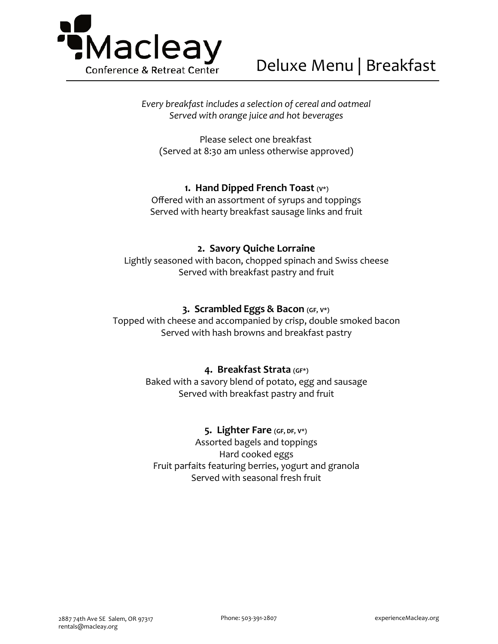

*Every breakfast includes a selection of cereal and oatmeal Served with orange juice and hot beverages*

Please select one breakfast (Served at 8:30 am unless otherwise approved)

## **1. Hand Dipped French Toast (V\*)**

Offered with an assortment of syrups and toppings Served with hearty breakfast sausage links and fruit

## **2. Savory Quiche Lorraine**

Lightly seasoned with bacon, chopped spinach and Swiss cheese Served with breakfast pastry and fruit

## **3. Scrambled Eggs & Bacon (GF, V\*)**

Topped with cheese and accompanied by crisp, double smoked bacon Served with hash browns and breakfast pastry

## **4. Breakfast Strata (GF\*)**

Baked with a savory blend of potato, egg and sausage Served with breakfast pastry and fruit

## **5. Lighter Fare (GF, DF, V\*)**

Assorted bagels and toppings Hard cooked eggs Fruit parfaits featuring berries, yogurt and granola Served with seasonal fresh fruit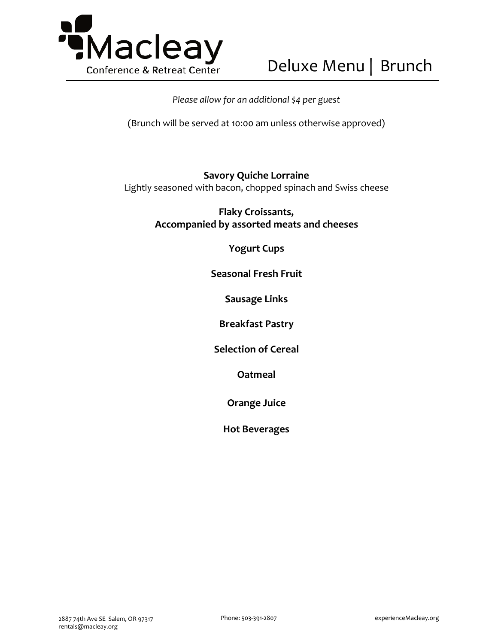

## *Please allow for an additional \$4 per guest*

(Brunch will be served at 10:00 am unless otherwise approved)

## **Savory Quiche Lorraine**

Lightly seasoned with bacon, chopped spinach and Swiss cheese

**Flaky Croissants, Accompanied by assorted meats and cheeses** 

**Yogurt Cups**

**Seasonal Fresh Fruit** 

**Sausage Links** 

**Breakfast Pastry** 

**Selection of Cereal** 

**Oatmeal**

**Orange Juice**

**Hot Beverages**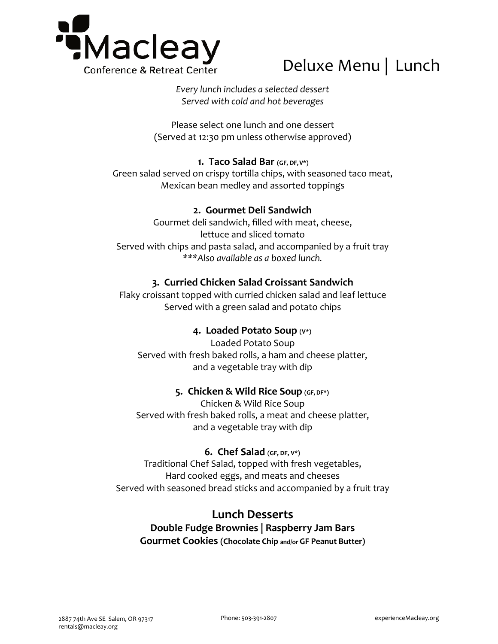

*Every lunch includes a selected dessert Served with cold and hot beverages*

Please select one lunch and one dessert (Served at 12:30 pm unless otherwise approved)

## **1. Taco Salad Bar (GF, DF,V\*)**

Green salad served on crispy tortilla chips, with seasoned taco meat, Mexican bean medley and assorted toppings

## **2. Gourmet Deli Sandwich**

Gourmet deli sandwich, filled with meat, cheese, lettuce and sliced tomato Served with chips and pasta salad, and accompanied by a fruit tray *\*\*\*Also available as a boxed lunch.*

## **3. Curried Chicken Salad Croissant Sandwich**

Flaky croissant topped with curried chicken salad and leaf lettuce Served with a green salad and potato chips

## **4. Loaded Potato Soup (V\*)**

Loaded Potato Soup Served with fresh baked rolls, a ham and cheese platter, and a vegetable tray with dip

## **5. Chicken & Wild Rice Soup (GF,DF\*)**

Chicken & Wild Rice Soup Served with fresh baked rolls, a meat and cheese platter, and a vegetable tray with dip

## **6. Chef Salad (GF, DF, V\*)**

Traditional Chef Salad, topped with fresh vegetables, Hard cooked eggs, and meats and cheeses Served with seasoned bread sticks and accompanied by a fruit tray

## **Lunch Desserts**

**Double Fudge Brownies | Raspberry Jam Bars Gourmet Cookies (Chocolate Chip and/or GF Peanut Butter)**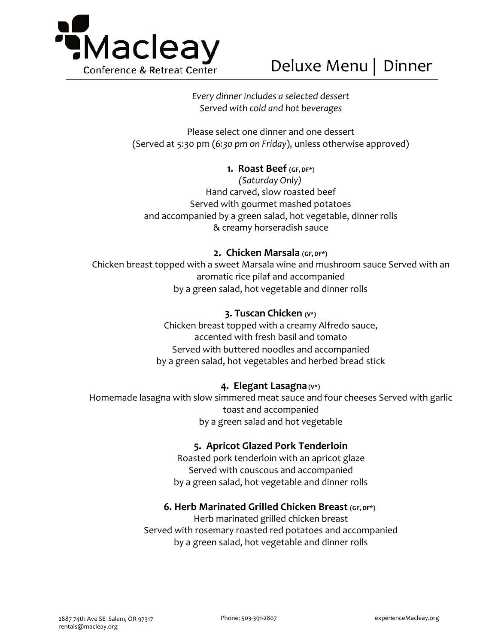

*Every dinner includes a selected dessert Served with cold and hot beverages*

Please select one dinner and one dessert (Served at 5:30 pm (*6:30 pm on Friday*), unless otherwise approved)

## **1. Roast Beef (GF, DF\*)**

*(Saturday Only)* Hand carved, slow roasted beef Served with gourmet mashed potatoes and accompanied by a green salad, hot vegetable, dinner rolls & creamy horseradish sauce

## **2. Chicken Marsala (GF, DF\*)**

Chicken breast topped with a sweet Marsala wine and mushroom sauce Served with an aromatic rice pilaf and accompanied by a green salad, hot vegetable and dinner rolls

## **3. Tuscan Chicken (V\*)**

Chicken breast topped with a creamy Alfredo sauce, accented with fresh basil and tomato Served with buttered noodles and accompanied by a green salad, hot vegetables and herbed bread stick

## **4. Elegant Lasagna (V\*)**

Homemade lasagna with slow simmered meat sauce and four cheeses Served with garlic toast and accompanied by a green salad and hot vegetable

## **5. Apricot Glazed Pork Tenderloin**

Roasted pork tenderloin with an apricot glaze Served with couscous and accompanied by a green salad, hot vegetable and dinner rolls

## **6. Herb Marinated Grilled Chicken Breast (GF, DF\*)**

Herb marinated grilled chicken breast Served with rosemary roasted red potatoes and accompanied by a green salad, hot vegetable and dinner rolls